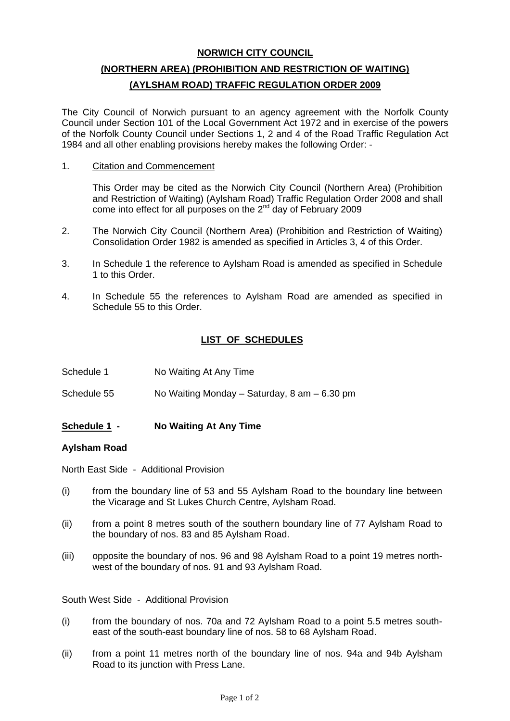## **NORWICH CITY COUNCIL**

# **(NORTHERN AREA) (PROHIBITION AND RESTRICTION OF WAITING) (AYLSHAM ROAD) TRAFFIC REGULATION ORDER 2009**

The City Council of Norwich pursuant to an agency agreement with the Norfolk County Council under Section 101 of the Local Government Act 1972 and in exercise of the powers of the Norfolk County Council under Sections 1, 2 and 4 of the Road Traffic Regulation Act 1984 and all other enabling provisions hereby makes the following Order: -

1. Citation and Commencement

 This Order may be cited as the Norwich City Council (Northern Area) (Prohibition and Restriction of Waiting) (Aylsham Road) Traffic Regulation Order 2008 and shall come into effect for all purposes on the  $2^{nd}$  day of February 2009

- 2. The Norwich City Council (Northern Area) (Prohibition and Restriction of Waiting) Consolidation Order 1982 is amended as specified in Articles 3, 4 of this Order.
- 3. In Schedule 1 the reference to Aylsham Road is amended as specified in Schedule 1 to this Order.
- 4. In Schedule 55 the references to Aylsham Road are amended as specified in Schedule 55 to this Order.

## **LIST OF SCHEDULES**

- Schedule 1 No Waiting At Any Time
- Schedule 55 No Waiting Monday Saturday, 8 am 6.30 pm

## **Schedule 1 - No Waiting At Any Time**

#### **Aylsham Road**

North East Side - Additional Provision

- (i) from the boundary line of 53 and 55 Aylsham Road to the boundary line between the Vicarage and St Lukes Church Centre, Aylsham Road.
- (ii) from a point 8 metres south of the southern boundary line of 77 Aylsham Road to the boundary of nos. 83 and 85 Aylsham Road.
- (iii) opposite the boundary of nos. 96 and 98 Aylsham Road to a point 19 metres northwest of the boundary of nos. 91 and 93 Aylsham Road.

South West Side - Additional Provision

- (i) from the boundary of nos. 70a and 72 Aylsham Road to a point 5.5 metres southeast of the south-east boundary line of nos. 58 to 68 Aylsham Road.
- (ii) from a point 11 metres north of the boundary line of nos. 94a and 94b Aylsham Road to its junction with Press Lane.